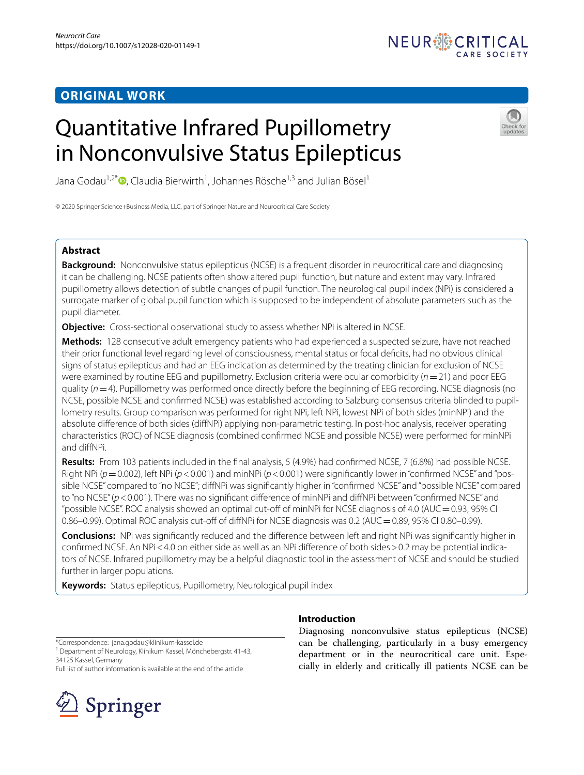## **ORIGINAL WORK**

# **NEUR<sup>3</sup>GCRITICAL**

## Quantitative Infrared Pupillometry in Nonconvulsive Status Epilepticus

Jana Godau<sup>1,2\*</sup>®[,](http://orcid.org/0000-0002-6857-4567) Claudia Bierwirth<sup>1</sup>, Johannes Rösche<sup>1,3</sup> and Julian Bösel<sup>1</sup>

© 2020 Springer Science+Business Media, LLC, part of Springer Nature and Neurocritical Care Society

## **Abstract**

**Background:** Nonconvulsive status epilepticus (NCSE) is a frequent disorder in neurocritical care and diagnosing it can be challenging. NCSE patients often show altered pupil function, but nature and extent may vary. Infrared pupillometry allows detection of subtle changes of pupil function. The neurological pupil index (NPi) is considered a surrogate marker of global pupil function which is supposed to be independent of absolute parameters such as the pupil diameter.

**Objective:** Cross-sectional observational study to assess whether NPi is altered in NCSE.

**Methods:** 128 consecutive adult emergency patients who had experienced a suspected seizure, have not reached their prior functional level regarding level of consciousness, mental status or focal defcits, had no obvious clinical signs of status epilepticus and had an EEG indication as determined by the treating clinician for exclusion of NCSE were examined by routine EEG and pupillometry. Exclusion criteria were ocular comorbidity (*n*=21) and poor EEG quality (*n*=4). Pupillometry was performed once directly before the beginning of EEG recording. NCSE diagnosis (no NCSE, possible NCSE and confrmed NCSE) was established according to Salzburg consensus criteria blinded to pupillometry results. Group comparison was performed for right NPi, left NPi, lowest NPi of both sides (minNPi) and the absolute diference of both sides (difNPi) applying non-parametric testing. In post-hoc analysis, receiver operating characteristics (ROC) of NCSE diagnosis (combined confrmed NCSE and possible NCSE) were performed for minNPi and difNPi.

**Results:** From 103 patients included in the fnal analysis, 5 (4.9%) had confrmed NCSE, 7 (6.8%) had possible NCSE. Right NPi ( $p=0.002$ ), left NPi ( $p<0.001$ ) and minNPi ( $p<0.001$ ) were significantly lower in "confirmed NCSE" and "possible NCSE" compared to "no NCSE"; difNPi was signifcantly higher in "confrmed NCSE" and "possible NCSE" compared to "no NCSE" (*p* < 0.001). There was no significant difference of minNPi and diffNPi between "confirmed NCSE" and "possible NCSE". ROC analysis showed an optimal cut-off of minNPi for NCSE diagnosis of 4.0 (AUC = 0.93, 95% CI 0.86–0.99). Optimal ROC analysis cut-off of diffNPi for NCSE diagnosis was 0.2 (AUC=0.89, 95% CI 0.80–0.99).

**Conclusions:** NPi was signifcantly reduced and the diference between left and right NPi was signifcantly higher in confrmed NCSE. An NPi<4.0 on either side as well as an NPi diference of both sides>0.2 may be potential indicators of NCSE. Infrared pupillometry may be a helpful diagnostic tool in the assessment of NCSE and should be studied further in larger populations.

**Keywords:** Status epilepticus, Pupillometry, Neurological pupil index

<sup>1</sup> Department of Neurology, Klinikum Kassel, Mönchebergstr. 41-43, 34125 Kassel, Germany

Full list of author information is available at the end of the article



## **Introduction** Diagnosing nonconvulsive status epilepticus (NCSE) can be challenging, particularly in a busy emergency department or in the neurocritical care unit. Especially in elderly and critically ill patients NCSE can be

<sup>\*</sup>Correspondence: jana.godau@klinikum-kassel.de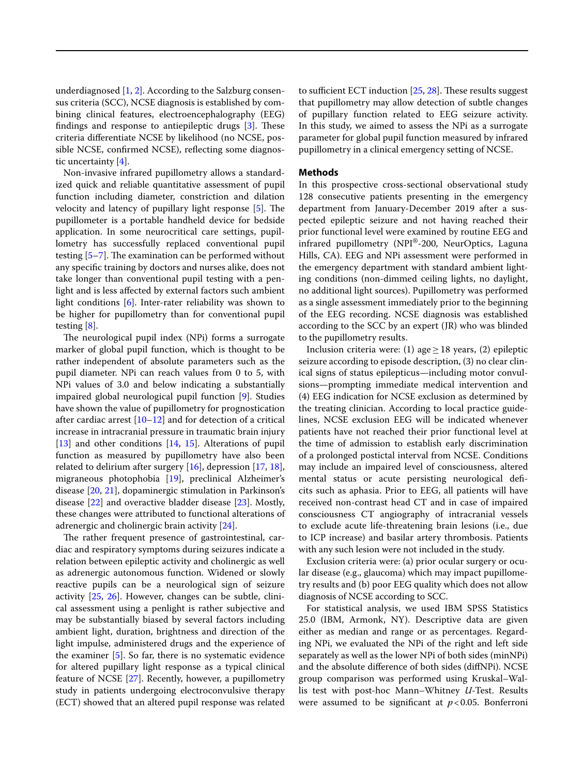underdiagnosed [[1,](#page-6-0) [2](#page-6-1)]. According to the Salzburg consensus criteria (SCC), NCSE diagnosis is established by combining clinical features, electroencephalography (EEG) findings and response to antiepileptic drugs  $[3]$  $[3]$ . These criteria diferentiate NCSE by likelihood (no NCSE, possible NCSE, confrmed NCSE), refecting some diagnostic uncertainty [[4\]](#page-6-3).

Non-invasive infrared pupillometry allows a standardized quick and reliable quantitative assessment of pupil function including diameter, constriction and dilation velocity and latency of pupillary light response  $[5]$  $[5]$ . The pupillometer is a portable handheld device for bedside application. In some neurocritical care settings, pupillometry has successfully replaced conventional pupil testing  $[5-7]$  $[5-7]$  $[5-7]$ . The examination can be performed without any specifc training by doctors and nurses alike, does not take longer than conventional pupil testing with a penlight and is less afected by external factors such ambient light conditions [\[6](#page-6-6)]. Inter-rater reliability was shown to be higher for pupillometry than for conventional pupil testing [[8\]](#page-6-7).

The neurological pupil index (NPi) forms a surrogate marker of global pupil function, which is thought to be rather independent of absolute parameters such as the pupil diameter. NPi can reach values from 0 to 5, with NPi values of 3.0 and below indicating a substantially impaired global neurological pupil function [[9\]](#page-6-8). Studies have shown the value of pupillometry for prognostication after cardiac arrest  $[10-12]$  $[10-12]$  $[10-12]$  and for detection of a critical increase in intracranial pressure in traumatic brain injury [[13\]](#page-6-11) and other conditions [\[14](#page-6-12), [15](#page-6-13)]. Alterations of pupil function as measured by pupillometry have also been related to delirium after surgery [\[16\]](#page-6-14), depression [[17,](#page-6-15) [18](#page-6-16)], migraneous photophobia [\[19](#page-6-17)], preclinical Alzheimer's disease [[20,](#page-6-18) [21\]](#page-6-19), dopaminergic stimulation in Parkinson's disease [\[22](#page-6-20)] and overactive bladder disease [[23\]](#page-6-21). Mostly, these changes were attributed to functional alterations of adrenergic and cholinergic brain activity [[24\]](#page-6-22).

The rather frequent presence of gastrointestinal, cardiac and respiratory symptoms during seizures indicate a relation between epileptic activity and cholinergic as well as adrenergic autonomous function. Widened or slowly reactive pupils can be a neurological sign of seizure activity [[25](#page-6-23), [26](#page-6-24)]. However, changes can be subtle, clinical assessment using a penlight is rather subjective and may be substantially biased by several factors including ambient light, duration, brightness and direction of the light impulse, administered drugs and the experience of the examiner [[5](#page-6-4)]. So far, there is no systematic evidence for altered pupillary light response as a typical clinical feature of NCSE [\[27](#page-6-25)]. Recently, however, a pupillometry study in patients undergoing electroconvulsive therapy (ECT) showed that an altered pupil response was related to sufficient ECT induction  $[25, 28]$  $[25, 28]$  $[25, 28]$ . These results suggest that pupillometry may allow detection of subtle changes of pupillary function related to EEG seizure activity. In this study, we aimed to assess the NPi as a surrogate parameter for global pupil function measured by infrared pupillometry in a clinical emergency setting of NCSE.

## **Methods**

In this prospective cross-sectional observational study 128 consecutive patients presenting in the emergency department from January-December 2019 after a suspected epileptic seizure and not having reached their prior functional level were examined by routine EEG and infrared pupillometry (NPI®-200, NeurOptics, Laguna Hills, CA). EEG and NPi assessment were performed in the emergency department with standard ambient lighting conditions (non-dimmed ceiling lights, no daylight, no additional light sources). Pupillometry was performed as a single assessment immediately prior to the beginning of the EEG recording. NCSE diagnosis was established according to the SCC by an expert (JR) who was blinded to the pupillometry results.

Inclusion criteria were: (1) age ≥ 18 years, (2) epileptic seizure according to episode description, (3) no clear clinical signs of status epilepticus—including motor convulsions—prompting immediate medical intervention and (4) EEG indication for NCSE exclusion as determined by the treating clinician. According to local practice guidelines, NCSE exclusion EEG will be indicated whenever patients have not reached their prior functional level at the time of admission to establish early discrimination of a prolonged postictal interval from NCSE. Conditions may include an impaired level of consciousness, altered mental status or acute persisting neurological defcits such as aphasia. Prior to EEG, all patients will have received non-contrast head CT and in case of impaired consciousness CT angiography of intracranial vessels to exclude acute life-threatening brain lesions (i.e., due to ICP increase) and basilar artery thrombosis. Patients with any such lesion were not included in the study.

Exclusion criteria were: (a) prior ocular surgery or ocular disease (e.g., glaucoma) which may impact pupillometry results and (b) poor EEG quality which does not allow diagnosis of NCSE according to SCC.

For statistical analysis, we used IBM SPSS Statistics 25.0 (IBM, Armonk, NY). Descriptive data are given either as median and range or as percentages. Regarding NPi, we evaluated the NPi of the right and left side separately as well as the lower NPi of both sides (minNPi) and the absolute diference of both sides (difNPi). NCSE group comparison was performed using Kruskal–Wallis test with post-hoc Mann–Whitney *U*-Test. Results were assumed to be significant at  $p < 0.05$ . Bonferroni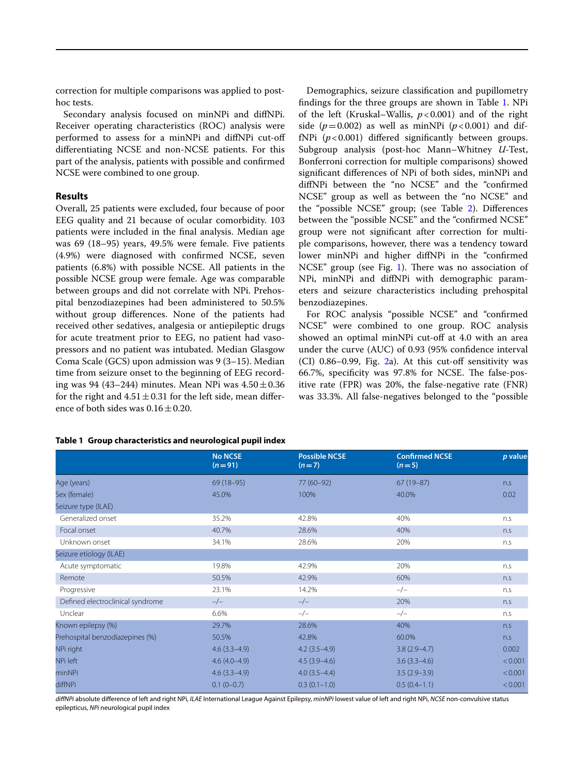correction for multiple comparisons was applied to posthoc tests.

Secondary analysis focused on minNPi and difNPi. Receiver operating characteristics (ROC) analysis were performed to assess for a minNPi and difNPi cut-of diferentiating NCSE and non-NCSE patients. For this part of the analysis, patients with possible and confrmed NCSE were combined to one group.

## **Results**

Overall, 25 patients were excluded, four because of poor EEG quality and 21 because of ocular comorbidity. 103 patients were included in the fnal analysis. Median age was 69 (18–95) years, 49.5% were female. Five patients (4.9%) were diagnosed with confrmed NCSE, seven patients (6.8%) with possible NCSE. All patients in the possible NCSE group were female. Age was comparable between groups and did not correlate with NPi. Prehospital benzodiazepines had been administered to 50.5% without group diferences. None of the patients had received other sedatives, analgesia or antiepileptic drugs for acute treatment prior to EEG, no patient had vasopressors and no patient was intubated. Median Glasgow Coma Scale (GCS) upon admission was 9 (3–15). Median time from seizure onset to the beginning of EEG recording was 94 (43–244) minutes. Mean NPi was 4.50±0.36 for the right and  $4.51 \pm 0.31$  for the left side, mean difference of both sides was  $0.16 \pm 0.20$ .

#### <span id="page-2-0"></span>**Table 1 Group characteristics and neurological pupil index**

Demographics, seizure classifcation and pupillometry fndings for the three groups are shown in Table [1](#page-2-0). NPi of the left (Kruskal–Wallis,  $p < 0.001$ ) and of the right side  $(p=0.002)$  as well as minNPi  $(p<0.001)$  and diffNPi  $(p<0.001)$  differed significantly between groups. Subgroup analysis (post-hoc Mann–Whitney *U*-Test, Bonferroni correction for multiple comparisons) showed signifcant diferences of NPi of both sides, minNPi and difNPi between the "no NCSE" and the "confrmed NCSE" group as well as between the "no NCSE" and the "possible NCSE" group; (see Table [2](#page-3-0)). Diferences between the "possible NCSE" and the "confrmed NCSE" group were not signifcant after correction for multiple comparisons, however, there was a tendency toward lower minNPi and higher difNPi in the "confrmed NCSE" group (see Fig. [1\)](#page-3-1). There was no association of NPi, minNPi and difNPi with demographic parameters and seizure characteristics including prehospital benzodiazepines.

For ROC analysis "possible NCSE" and "confrmed NCSE" were combined to one group. ROC analysis showed an optimal minNPi cut-off at 4.0 with an area under the curve (AUC) of 0.93 (95% confdence interval (CI)  $0.86-0.99$ , Fig.  $2a$ ). At this cut-off sensitivity was 66.7%, specificity was 97.8% for NCSE. The false-positive rate (FPR) was 20%, the false-negative rate (FNR) was 33.3%. All false-negatives belonged to the "possible

|                                  | <b>No NCSE</b><br>$(n=91)$ | <b>Possible NCSE</b><br>$(n=7)$ | <b>Confirmed NCSE</b><br>$(n=5)$ | p value |
|----------------------------------|----------------------------|---------------------------------|----------------------------------|---------|
| Age (years)                      | $69(18-95)$                | 77 (60-92)                      | $67(19-87)$                      | n.s     |
| Sex (female)                     | 45.0%                      | 100%                            | 40.0%                            | 0.02    |
| Seizure type (ILAE)              |                            |                                 |                                  |         |
| Generalized onset                | 35.2%                      | 42.8%                           | 40%                              | n.s     |
| Focal onset                      | 40.7%                      | 28.6%                           | 40%                              | n.s     |
| Unknown onset                    | 34.1%                      | 28.6%                           | 20%                              | n.s     |
| Seizure etiology (ILAE)          |                            |                                 |                                  |         |
| Acute symptomatic                | 19.8%                      | 42.9%                           | 20%                              | n.s     |
| Remote                           | 50.5%                      | 42.9%                           | 60%                              | n.s     |
| Progressive                      | 23.1%                      | 14.2%                           | $-/-$                            | n.S     |
| Defined electroclinical syndrome | $-/-$                      | $-/-$                           | 20%                              | n.s     |
| Unclear                          | 6.6%                       | $-/-$                           | $-/-$                            | n.s     |
| Known epilepsy (%)               | 29.7%                      | 28.6%                           | 40%                              | n.s     |
| Prehospital benzodiazepines (%)  | 50.5%                      | 42.8%                           | 60.0%                            | n.s     |
| NPi right                        | $4.6(3.3-4.9)$             | $4.2(3.5-4.9)$                  | $3.8(2.9 - 4.7)$                 | 0.002   |
| NPi left                         | $4.6(4.0-4.9)$             | $4.5(3.9 - 4.6)$                | $3.6(3.3-4.6)$                   | < 0.001 |
| minNPi                           | $4.6(3.3-4.9)$             | $4.0(3.5-4.4)$                  | $3.5(2.9-3.9)$                   | < 0.001 |
| diffNPi                          | $0.1(0-0.7)$               | $0.3(0.1-1.0)$                  | $0.5(0.4-1.1)$                   | < 0.001 |

*difNPi* absolute diference of left and right NPi, *ILAE* International League Against Epilepsy, *minNPi* lowest value of left and right NPi, *NCSE* non-convulsive status epilepticus, *NPi* neurological pupil index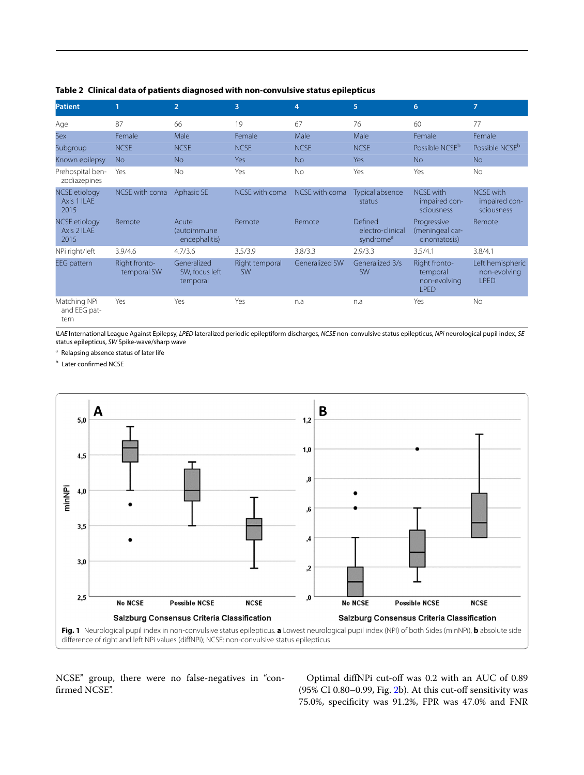| <b>Patient</b>                              |                              | $\overline{2}$                            | 3                           | 4              | 5                                                    | 6                                                        | 7                                               |
|---------------------------------------------|------------------------------|-------------------------------------------|-----------------------------|----------------|------------------------------------------------------|----------------------------------------------------------|-------------------------------------------------|
| Age                                         | 87                           | 66                                        | 19                          | 67             | 76                                                   | 60                                                       | 77                                              |
| Sex                                         | Female                       | Male                                      | Female                      | Male           | Male                                                 | Female                                                   | Female                                          |
| Subgroup                                    | <b>NCSE</b>                  | <b>NCSE</b>                               | <b>NCSE</b>                 | <b>NCSE</b>    | <b>NCSE</b>                                          | Possible NCSE <sup>b</sup>                               | Possible NCSE <sup>b</sup>                      |
| Known epilepsy                              | <b>No</b>                    | <b>No</b>                                 | Yes                         | <b>No</b>      | Yes                                                  | No.                                                      | <b>No</b>                                       |
| Prehospital ben-<br>zodiazepines            | Yes                          | <b>No</b>                                 | Yes                         | No             | Yes                                                  | Yes                                                      | No                                              |
| <b>NCSE</b> etiology<br>Axis 1 ILAE<br>2015 | NCSE with coma               | Aphasic SE                                | NCSE with coma              | NCSE with coma | Typical absence<br>status                            | <b>NCSE</b> with<br>impaired con-<br>sciousness          | <b>NCSE with</b><br>impaired con-<br>sciousness |
| NCSE etiology<br>Axis 2 ILAE<br>2015        | Remote                       | Acute<br>(autoimmune<br>encephalitis)     | Remote                      | Remote         | Defined<br>electro-clinical<br>syndrome <sup>a</sup> | Progressive<br>(meningeal car-<br>cinomatosis)           | Remote                                          |
| NPi right/left                              | 3.9/4.6                      | 4.7/3.6                                   | 3.5/3.9                     | 3.8/3.3        | 2.9/3.3                                              | 3.5/4.1                                                  | 3.8/4.1                                         |
| <b>EEG</b> pattern                          | Right fronto-<br>temporal SW | Generalized<br>SW, focus left<br>temporal | Right temporal<br><b>SW</b> | Generalized SW | Generalized 3/s<br><b>SW</b>                         | Right fronto-<br>temporal<br>non-evolving<br><b>LPED</b> | Left hemispheric<br>non-evolving<br><b>LPED</b> |
| Matching NPi<br>and EEG pat-<br>tern        | Yes                          | Yes                                       | Yes                         | n.a            | n.a                                                  | Yes                                                      | <b>No</b>                                       |

## <span id="page-3-0"></span>**Table 2 Clinical data of patients diagnosed with non-convulsive status epilepticus**

*ILAE* International League Against Epilepsy, *LPED* lateralized periodic epileptiform discharges, *NCSE* non-convulsive status epilepticus, *NPi* neurological pupil index, *SE* status epilepticus, *SW* Spike-wave/sharp wave

<sup>a</sup> Relapsing absence status of later life

**b** Later confirmed NCSE



<span id="page-3-1"></span>NCSE" group, there were no false-negatives in "confrmed NCSE".

Optimal difNPi cut-of was 0.2 with an AUC of 0.89 (95% CI 0.80–0.99, Fig. [2b](#page-4-0)). At this cut-of sensitivity was 75.0%, specifcity was 91.2%, FPR was 47.0% and FNR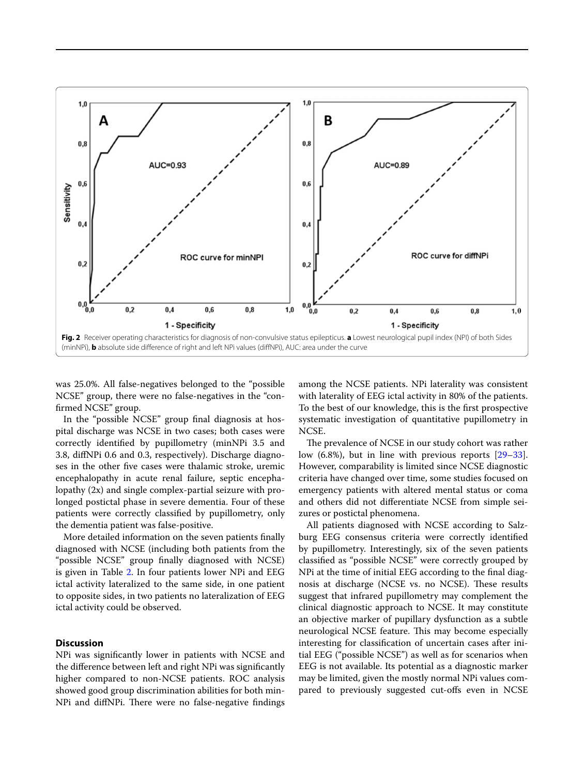

<span id="page-4-0"></span>was 25.0%. All false-negatives belonged to the "possible NCSE" group, there were no false-negatives in the "confrmed NCSE" group.

In the "possible NCSE" group fnal diagnosis at hospital discharge was NCSE in two cases; both cases were correctly identifed by pupillometry (minNPi 3.5 and 3.8, difNPi 0.6 and 0.3, respectively). Discharge diagnoses in the other fve cases were thalamic stroke, uremic encephalopathy in acute renal failure, septic encephalopathy (2x) and single complex-partial seizure with prolonged postictal phase in severe dementia. Four of these patients were correctly classifed by pupillometry, only the dementia patient was false-positive.

More detailed information on the seven patients fnally diagnosed with NCSE (including both patients from the "possible NCSE" group fnally diagnosed with NCSE) is given in Table [2.](#page-3-0) In four patients lower NPi and EEG ictal activity lateralized to the same side, in one patient to opposite sides, in two patients no lateralization of EEG ictal activity could be observed.

### **Discussion**

NPi was signifcantly lower in patients with NCSE and the diference between left and right NPi was signifcantly higher compared to non-NCSE patients. ROC analysis showed good group discrimination abilities for both min-NPi and diffNPi. There were no false-negative findings

among the NCSE patients. NPi laterality was consistent with laterality of EEG ictal activity in 80% of the patients. To the best of our knowledge, this is the frst prospective systematic investigation of quantitative pupillometry in NCSE.

The prevalence of NCSE in our study cohort was rather low (6.8%), but in line with previous reports [[29](#page-7-0)[–33](#page-7-1)]. However, comparability is limited since NCSE diagnostic criteria have changed over time, some studies focused on emergency patients with altered mental status or coma and others did not diferentiate NCSE from simple seizures or postictal phenomena.

All patients diagnosed with NCSE according to Salzburg EEG consensus criteria were correctly identifed by pupillometry. Interestingly, six of the seven patients classifed as "possible NCSE" were correctly grouped by NPi at the time of initial EEG according to the fnal diagnosis at discharge (NCSE vs. no NCSE). These results suggest that infrared pupillometry may complement the clinical diagnostic approach to NCSE. It may constitute an objective marker of pupillary dysfunction as a subtle neurological NCSE feature. This may become especially interesting for classifcation of uncertain cases after initial EEG ("possible NCSE") as well as for scenarios when EEG is not available. Its potential as a diagnostic marker may be limited, given the mostly normal NPi values compared to previously suggested cut-ofs even in NCSE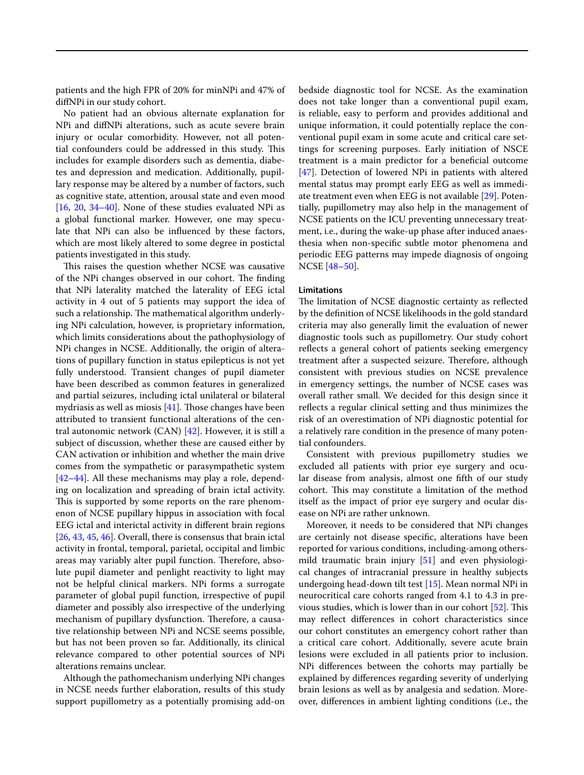patients and the high FPR of 20% for minNPi and 47% of difNPi in our study cohort.

No patient had an obvious alternate explanation for NPi and difNPi alterations, such as acute severe brain injury or ocular comorbidity. However, not all potential confounders could be addressed in this study. This includes for example disorders such as dementia, diabetes and depression and medication. Additionally, pupillary response may be altered by a number of factors, such as cognitive state, attention, arousal state and even mood [[16,](#page-6-14) [20](#page-6-18), [34–](#page-7-2)[40\]](#page-7-3). None of these studies evaluated NPi as a global functional marker. However, one may speculate that NPi can also be infuenced by these factors, which are most likely altered to some degree in postictal patients investigated in this study.

This raises the question whether NCSE was causative of the NPi changes observed in our cohort. The finding that NPi laterality matched the laterality of EEG ictal activity in 4 out of 5 patients may support the idea of such a relationship. The mathematical algorithm underlying NPi calculation, however, is proprietary information, which limits considerations about the pathophysiology of NPi changes in NCSE. Additionally, the origin of alterations of pupillary function in status epilepticus is not yet fully understood. Transient changes of pupil diameter have been described as common features in generalized and partial seizures, including ictal unilateral or bilateral mydriasis as well as miosis  $[41]$  $[41]$ . Those changes have been attributed to transient functional alterations of the central autonomic network (CAN) [\[42\]](#page-7-5). However, it is still a subject of discussion, whether these are caused either by CAN activation or inhibition and whether the main drive comes from the sympathetic or parasympathetic system [[42–](#page-7-5)[44](#page-7-6)]. All these mechanisms may play a role, depending on localization and spreading of brain ictal activity. This is supported by some reports on the rare phenomenon of NCSE pupillary hippus in association with focal EEG ictal and interictal activity in diferent brain regions [[26,](#page-6-24) [43](#page-7-7), [45](#page-7-8), [46\]](#page-7-9). Overall, there is consensus that brain ictal activity in frontal, temporal, parietal, occipital and limbic areas may variably alter pupil function. Therefore, absolute pupil diameter and penlight reactivity to light may not be helpful clinical markers. NPi forms a surrogate parameter of global pupil function, irrespective of pupil diameter and possibly also irrespective of the underlying mechanism of pupillary dysfunction. Therefore, a causative relationship between NPi and NCSE seems possible, but has not been proven so far. Additionally, its clinical relevance compared to other potential sources of NPi alterations remains unclear.

Although the pathomechanism underlying NPi changes in NCSE needs further elaboration, results of this study support pupillometry as a potentially promising add-on

bedside diagnostic tool for NCSE. As the examination does not take longer than a conventional pupil exam, is reliable, easy to perform and provides additional and unique information, it could potentially replace the conventional pupil exam in some acute and critical care settings for screening purposes. Early initiation of NSCE treatment is a main predictor for a benefcial outcome [[47\]](#page-7-10). Detection of lowered NPi in patients with altered mental status may prompt early EEG as well as immediate treatment even when EEG is not available [[29\]](#page-7-0). Potentially, pupillometry may also help in the management of NCSE patients on the ICU preventing unnecessary treatment, i.e., during the wake-up phase after induced anaesthesia when non-specifc subtle motor phenomena and periodic EEG patterns may impede diagnosis of ongoing NCSE [\[48](#page-7-11)–[50\]](#page-7-12).

## **Limitations**

The limitation of NCSE diagnostic certainty as reflected by the defnition of NCSE likelihoods in the gold standard criteria may also generally limit the evaluation of newer diagnostic tools such as pupillometry. Our study cohort reflects a general cohort of patients seeking emergency treatment after a suspected seizure. Therefore, although consistent with previous studies on NCSE prevalence in emergency settings, the number of NCSE cases was overall rather small. We decided for this design since it refects a regular clinical setting and thus minimizes the risk of an overestimation of NPi diagnostic potential for a relatively rare condition in the presence of many potential confounders.

Consistent with previous pupillometry studies we excluded all patients with prior eye surgery and ocular disease from analysis, almost one ffth of our study cohort. This may constitute a limitation of the method itself as the impact of prior eye surgery and ocular disease on NPi are rather unknown.

Moreover, it needs to be considered that NPi changes are certainly not disease specifc, alterations have been reported for various conditions, including-among othersmild traumatic brain injury [\[51](#page-7-13)] and even physiological changes of intracranial pressure in healthy subjects undergoing head-down tilt test [[15\]](#page-6-13). Mean normal NPi in neurocritical care cohorts ranged from 4.1 to 4.3 in previous studies, which is lower than in our cohort  $[52]$  $[52]$  $[52]$ . This may refect diferences in cohort characteristics since our cohort constitutes an emergency cohort rather than a critical care cohort. Additionally, severe acute brain lesions were excluded in all patients prior to inclusion. NPi diferences between the cohorts may partially be explained by diferences regarding severity of underlying brain lesions as well as by analgesia and sedation. Moreover, diferences in ambient lighting conditions (i.e., the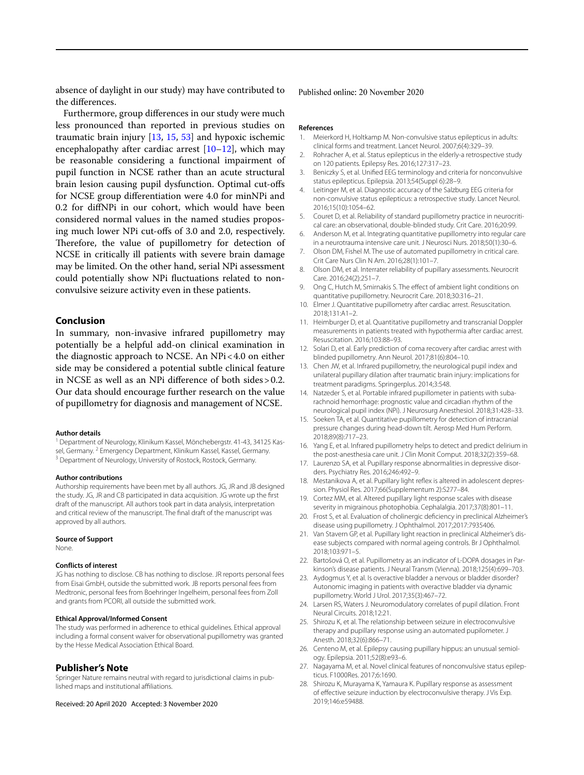absence of daylight in our study) may have contributed to the diferences.

Furthermore, group diferences in our study were much less pronounced than reported in previous studies on traumatic brain injury [[13](#page-6-11), [15,](#page-6-13) [53\]](#page-7-15) and hypoxic ischemic encephalopathy after cardiac arrest [[10](#page-6-9)[–12](#page-6-10)], which may be reasonable considering a functional impairment of pupil function in NCSE rather than an acute structural brain lesion causing pupil dysfunction. Optimal cut-ofs for NCSE group diferentiation were 4.0 for minNPi and 0.2 for difNPi in our cohort, which would have been considered normal values in the named studies proposing much lower NPi cut-ofs of 3.0 and 2.0, respectively. Therefore, the value of pupillometry for detection of NCSE in critically ill patients with severe brain damage may be limited. On the other hand, serial NPi assessment could potentially show NPi fuctuations related to nonconvulsive seizure activity even in these patients.

## **Conclusion**

In summary, non-invasive infrared pupillometry may potentially be a helpful add-on clinical examination in the diagnostic approach to NCSE. An NPi<4.0 on either side may be considered a potential subtle clinical feature in NCSE as well as an NPi diference of both sides>0.2. Our data should encourage further research on the value of pupillometry for diagnosis and management of NCSE.

#### **Author details**

<sup>1</sup> Department of Neurology, Klinikum Kassel, Mönchebergstr. 41-43, 34125 Kassel, Germany. <sup>2</sup> Emergency Department, Klinikum Kassel, Kassel, Germany.<br><sup>3</sup> Department of Neurology, University of Rostock, Rostock, Germany.

#### **Author contributions**

Authorship requirements have been met by all authors. JG, JR and JB designed the study. JG, JR and CB participated in data acquisition. JG wrote up the frst draft of the manuscript. All authors took part in data analysis, interpretation and critical review of the manuscript. The fnal draft of the manuscript was approved by all authors.

#### **Source of Support**

None.

#### **Conflicts of interest**

JG has nothing to disclose. CB has nothing to disclose. JR reports personal fees from Eisai GmbH, outside the submitted work. JB reports personal fees from Medtronic, personal fees from Boehringer Ingelheim, personal fees from Zoll and grants from PCORI, all outside the submitted work.

#### **Ethical Approval/Informed Consent**

The study was performed in adherence to ethical guidelines. Ethical approval including a formal consent waiver for observational pupillometry was granted by the Hesse Medical Association Ethical Board.

#### **Publisher's Note**

Springer Nature remains neutral with regard to jurisdictional claims in published maps and institutional afliations.

Received: 20 April 2020 Accepted: 3 November 2020

Published online: 20 November 2020

#### **References**

- <span id="page-6-0"></span>1. Meierkord H, Holtkamp M. Non-convulsive status epilepticus in adults: clinical forms and treatment. Lancet Neurol. 2007;6(4):329–39.
- <span id="page-6-1"></span>2. Rohracher A, et al. Status epilepticus in the elderly-a retrospective study on 120 patients. Epilepsy Res. 2016;127:317–23.
- <span id="page-6-2"></span>3. Beniczky S, et al. Unifed EEG terminology and criteria for nonconvulsive status epilepticus. Epilepsia. 2013;54(Suppl 6):28–9.
- <span id="page-6-3"></span>4. Leitinger M, et al. Diagnostic accuracy of the Salzburg EEG criteria for non-convulsive status epilepticus: a retrospective study. Lancet Neurol. 2016;15(10):1054–62.
- <span id="page-6-4"></span>5. Couret D, et al. Reliability of standard pupillometry practice in neurocritical care: an observational, double-blinded study. Crit Care. 2016;20:99.
- <span id="page-6-6"></span>6. Anderson M, et al. Integrating quantitative pupillometry into regular care in a neurotrauma intensive care unit. J Neurosci Nurs. 2018;50(1):30–6.
- <span id="page-6-5"></span>7. Olson DM, Fishel M. The use of automated pupillometry in critical care. Crit Care Nurs Clin N Am. 2016;28(1):101–7.
- <span id="page-6-7"></span>8. Olson DM, et al. Interrater reliability of pupillary assessments. Neurocrit Care. 2016;24(2):251–7.
- <span id="page-6-8"></span>9. Ong C, Hutch M, Smirnakis S. The effect of ambient light conditions on quantitative pupillometry. Neurocrit Care. 2018;30:316–21.
- <span id="page-6-9"></span>10. Elmer J. Quantitative pupillometry after cardiac arrest. Resuscitation. 2018;131:A1–2.
- 11. Heimburger D, et al. Quantitative pupillometry and transcranial Doppler measurements in patients treated with hypothermia after cardiac arrest. Resuscitation. 2016;103:88–93.
- <span id="page-6-10"></span>12. Solari D, et al. Early prediction of coma recovery after cardiac arrest with blinded pupillometry. Ann Neurol. 2017;81(6):804–10.
- <span id="page-6-11"></span>13. Chen JW, et al. Infrared pupillometry, the neurological pupil index and unilateral pupillary dilation after traumatic brain injury: implications for treatment paradigms. Springerplus. 2014;3:548.
- <span id="page-6-12"></span>14. Natzeder S, et al. Portable infrared pupillometer in patients with subarachnoid hemorrhage: prognostic value and circadian rhythm of the neurological pupil index (NPi). J Neurosurg Anesthesiol. 2018;31:428–33.
- <span id="page-6-13"></span>15. Soeken TA, et al. Quantitative pupillometry for detection of intracranial pressure changes during head-down tilt. Aerosp Med Hum Perform. 2018;89(8):717–23.
- <span id="page-6-14"></span>16. Yang E, et al. Infrared pupillometry helps to detect and predict delirium in the post-anesthesia care unit. J Clin Monit Comput. 2018;32(2):359–68.
- <span id="page-6-15"></span>17. Laurenzo SA, et al. Pupillary response abnormalities in depressive disorders. Psychiatry Res. 2016;246:492–9.
- <span id="page-6-16"></span>18. Mestanikova A, et al. Pupillary light refex is altered in adolescent depression. Physiol Res. 2017;66(Supplementum 2):S277–84.
- <span id="page-6-17"></span>19. Cortez MM, et al. Altered pupillary light response scales with disease severity in migrainous photophobia. Cephalalgia. 2017;37(8):801–11.
- <span id="page-6-18"></span>20. Frost S, et al. Evaluation of cholinergic defciency in preclinical Alzheimer's disease using pupillometry. J Ophthalmol. 2017;2017:7935406.
- <span id="page-6-19"></span>21. Van Stavern GP, et al. Pupillary light reaction in preclinical Alzheimer's disease subjects compared with normal ageing controls. Br J Ophthalmol. 2018;103:971–5.
- <span id="page-6-20"></span>22. Bartošová O, et al. Pupillometry as an indicator of L-DOPA dosages in Parkinson's disease patients. J Neural Transm (Vienna). 2018;125(4):699–703.
- <span id="page-6-21"></span>23. Aydogmus Y, et al. Is overactive bladder a nervous or bladder disorder? Autonomic imaging in patients with overactive bladder via dynamic pupillometry. World J Urol. 2017;35(3):467–72.
- <span id="page-6-22"></span>24. Larsen RS, Waters J. Neuromodulatory correlates of pupil dilation. Front Neural Circuits. 2018;12:21.
- <span id="page-6-23"></span>25. Shirozu K, et al. The relationship between seizure in electroconvulsive therapy and pupillary response using an automated pupilometer. J Anesth. 2018;32(6):866–71.
- <span id="page-6-24"></span>26. Centeno M, et al. Epilepsy causing pupillary hippus: an unusual semiology. Epilepsia. 2011;52(8):e93–6.
- <span id="page-6-25"></span>27. Nagayama M, et al. Novel clinical features of nonconvulsive status epilepticus. F1000Res. 2017;6:1690.
- <span id="page-6-26"></span>28. Shirozu K, Murayama K, Yamaura K. Pupillary response as assessment of efective seizure induction by electroconvulsive therapy. J Vis Exp. 2019;146:e59488.